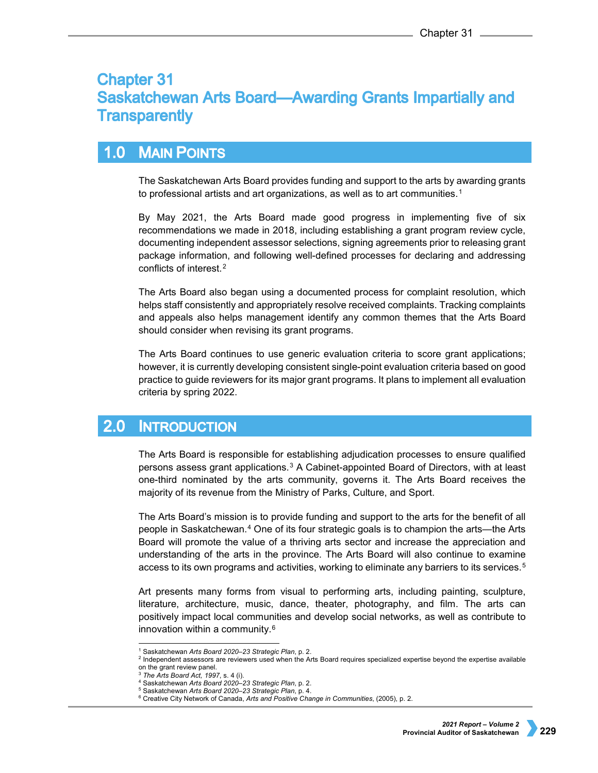# **Chapter 31 Saskatchewan Arts Board—Awarding Grants Impartially and Transparently**

#### $1.0$ **MAIN POINTS**

The Saskatchewan Arts Board provides funding and support to the arts by awarding grants to professional artists and art organizations, as well as to art communities.<sup>[1](#page-0-0)</sup>

By May 2021, the Arts Board made good progress in implementing five of six recommendations we made in 2018, including establishing a grant program review cycle, documenting independent assessor selections, signing agreements prior to releasing grant package information, and following well-defined processes for declaring and addressing conflicts of interest.[2](#page-0-1)

The Arts Board also began using a documented process for complaint resolution, which helps staff consistently and appropriately resolve received complaints. Tracking complaints and appeals also helps management identify any common themes that the Arts Board should consider when revising its grant programs.

The Arts Board continues to use generic evaluation criteria to score grant applications; however, it is currently developing consistent single-point evaluation criteria based on good practice to guide reviewers for its major grant programs. It plans to implement all evaluation criteria by spring 2022.

#### $2.0$ **INTRODUCTION**

The Arts Board is responsible for establishing adjudication processes to ensure qualified persons assess grant applications.[3](#page-0-2) A Cabinet-appointed Board of Directors, with at least one-third nominated by the arts community, governs it. The Arts Board receives the majority of its revenue from the Ministry of Parks, Culture, and Sport.

The Arts Board's mission is to provide funding and support to the arts for the benefit of all people in Saskatchewan.[4](#page-0-3) One of its four strategic goals is to champion the arts—the Arts Board will promote the value of a thriving arts sector and increase the appreciation and understanding of the arts in the province. The Arts Board will also continue to examine access to its own programs and activities, working to eliminate any barriers to its services.<sup>[5](#page-0-4)</sup>

Art presents many forms from visual to performing arts, including painting, sculpture, literature, architecture, music, dance, theater, photography, and film. The arts can positively impact local communities and develop social networks, as well as contribute to innovation within a community.[6](#page-0-5)

 <sup>1</sup> Saskatchewan *Arts Board 2020–23 Strategic Plan*, p. 2.

<span id="page-0-3"></span><span id="page-0-2"></span><span id="page-0-1"></span><span id="page-0-0"></span><sup>2</sup> Independent assessors are reviewers used when the Arts Board requires specialized expertise beyond the expertise available on the grant review panel.

<sup>3</sup> *The Arts Board Act, 1997*, s. 4 (i).

<sup>4</sup> Saskatchewan *Arts Board 2020–23 Strategic Plan*, p. 2.

<sup>5</sup> Saskatchewan *Arts Board 2020–23 Strategic Plan*, p. 4.

<span id="page-0-5"></span><span id="page-0-4"></span><sup>6</sup> Creative City Network of Canada, *Arts and Positive Change in Communities*, (2005), p. 2.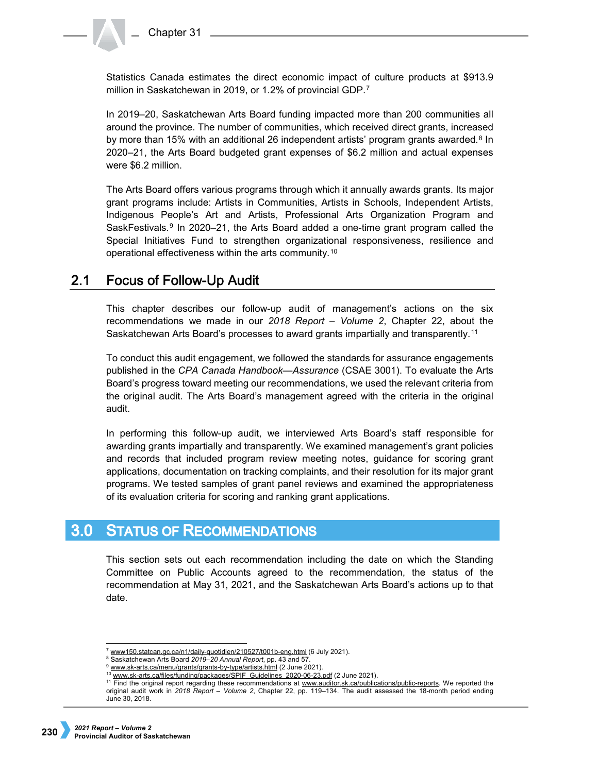Statistics Canada estimates the direct economic impact of culture products at \$913.9 million in Saskatchewan in 2019, or 1.2% of provincial GDP.[7](#page-1-0)

In 2019–20, Saskatchewan Arts Board funding impacted more than 200 communities all around the province. The number of communities, which received direct grants, increased by more than 15% with an additional 26 independent artists' program grants awarded.<sup>[8](#page-1-1)</sup> In 2020–21, the Arts Board budgeted grant expenses of \$6.2 million and actual expenses were \$6.2 million.

The Arts Board offers various programs through which it annually awards grants. Its major grant programs include: Artists in Communities, Artists in Schools, Independent Artists, Indigenous People's Art and Artists, Professional Arts Organization Program and SaskFestivals. $9 \text{ In } 2020-21$  $9 \text{ In } 2020-21$ , the Arts Board added a one-time grant program called the Special Initiatives Fund to strengthen organizational responsiveness, resilience and operational effectiveness within the arts community.[10](#page-1-3)

#### $2.1$ **Focus of Follow-Up Audit**

This chapter describes our follow-up audit of management's actions on the six recommendations we made in our *2018 Report – Volume 2*, Chapter 22, about the Saskatchewan Arts Board's processes to award grants impartially and transparently.[11](#page-1-4)

To conduct this audit engagement, we followed the standards for assurance engagements published in the *CPA Canada Handbook—Assurance* (CSAE 3001). To evaluate the Arts Board's progress toward meeting our recommendations, we used the relevant criteria from the original audit. The Arts Board's management agreed with the criteria in the original audit.

In performing this follow-up audit, we interviewed Arts Board's staff responsible for awarding grants impartially and transparently. We examined management's grant policies and records that included program review meeting notes, guidance for scoring grant applications, documentation on tracking complaints, and their resolution for its major grant programs. We tested samples of grant panel reviews and examined the appropriateness of its evaluation criteria for scoring and ranking grant applications*.*

#### **STATUS OF RECOMMENDATIONS**  $3.0<sub>1</sub>$

This section sets out each recommendation including the date on which the Standing Committee on Public Accounts agreed to the recommendation, the status of the recommendation at May 31, 2021, and the Saskatchewan Arts Board's actions up to that date.

<span id="page-1-0"></span><sup>&</sup>lt;sup>7</sup> www150.statcan.gc.ca/n1/daily-guotidien/210527/t001b-eng.html (6 July 2021).

<span id="page-1-1"></span><sup>8</sup> Saskatchewan Arts Board *2019–20 Annual Report*, pp. 43 and 57.

<sup>9</sup> [www.sk-arts.ca/menu/grants/grants-by-type/artists.html](https://www.sk-arts.ca/menu/grants/grants-by-type/artists.html) (2 June 2021).

[www.sk-arts.ca/files/funding/packages/SPIF\\_Guidelines\\_2020-06-23.pdf](http://www.sk-arts.ca/files/funding/packages/SPIF_Guidelines_2020-06-23.pdf) (2 June 2021).

<span id="page-1-4"></span><span id="page-1-3"></span><span id="page-1-2"></span><sup>&</sup>lt;sup>11</sup> Find the original report regarding these recommendations at [www.auditor.sk.ca/publications/public-reports.](http://www.auditor.sk.ca/publications/public-reports) We reported the original audit work in *2018 Report – Volume 2*, Chapter 22, pp. 119–134. The audit assessed the 18-month period ending June 30, 2018.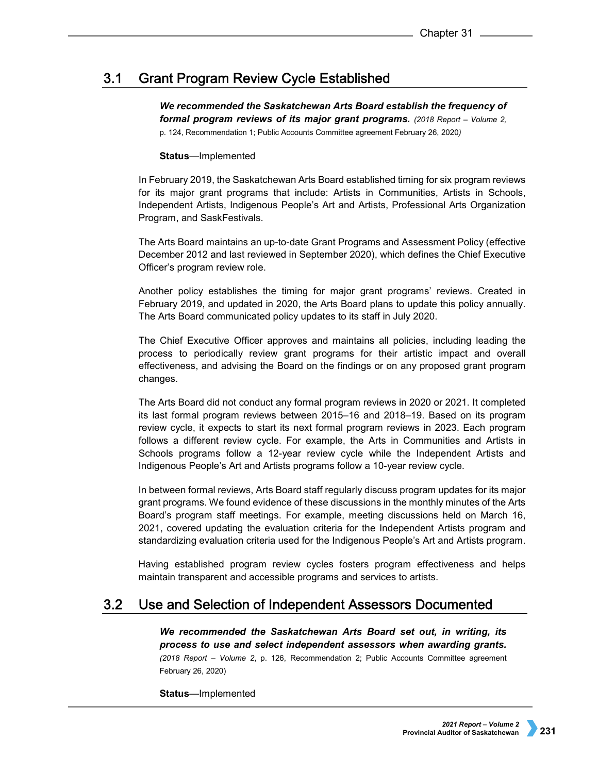#### $3.1$ **Grant Program Review Cycle Established**

*We recommended the Saskatchewan Arts Board establish the frequency of formal program reviews of its major grant programs. (2018 Report – Volume 2,*  p. 124, Recommendation 1; Public Accounts Committee agreement February 26, 2020*)*

# **Status**—Implemented

In February 2019, the Saskatchewan Arts Board established timing for six program reviews for its major grant programs that include: Artists in Communities, Artists in Schools, Independent Artists, Indigenous People's Art and Artists, Professional Arts Organization Program, and SaskFestivals.

The Arts Board maintains an up-to-date Grant Programs and Assessment Policy (effective December 2012 and last reviewed in September 2020), which defines the Chief Executive Officer's program review role.

Another policy establishes the timing for major grant programs' reviews. Created in February 2019, and updated in 2020, the Arts Board plans to update this policy annually. The Arts Board communicated policy updates to its staff in July 2020.

The Chief Executive Officer approves and maintains all policies, including leading the process to periodically review grant programs for their artistic impact and overall effectiveness, and advising the Board on the findings or on any proposed grant program changes.

The Arts Board did not conduct any formal program reviews in 2020 or 2021. It completed its last formal program reviews between 2015–16 and 2018–19. Based on its program review cycle, it expects to start its next formal program reviews in 2023. Each program follows a different review cycle. For example, the Arts in Communities and Artists in Schools programs follow a 12-year review cycle while the Independent Artists and Indigenous People's Art and Artists programs follow a 10-year review cycle.

In between formal reviews, Arts Board staff regularly discuss program updates for its major grant programs. We found evidence of these discussions in the monthly minutes of the Arts Board's program staff meetings. For example, meeting discussions held on March 16, 2021, covered updating the evaluation criteria for the Independent Artists program and standardizing evaluation criteria used for the Indigenous People's Art and Artists program.

Having established program review cycles fosters program effectiveness and helps maintain transparent and accessible programs and services to artists.

#### $3.2<sub>2</sub>$ Use and Selection of Independent Assessors Documented

*We recommended the Saskatchewan Arts Board set out, in writing, its process to use and select independent assessors when awarding grants.* 

*(2018 Report – Volume 2*, p. 126, Recommendation 2; Public Accounts Committee agreement February 26, 2020)

**Status**—Implemented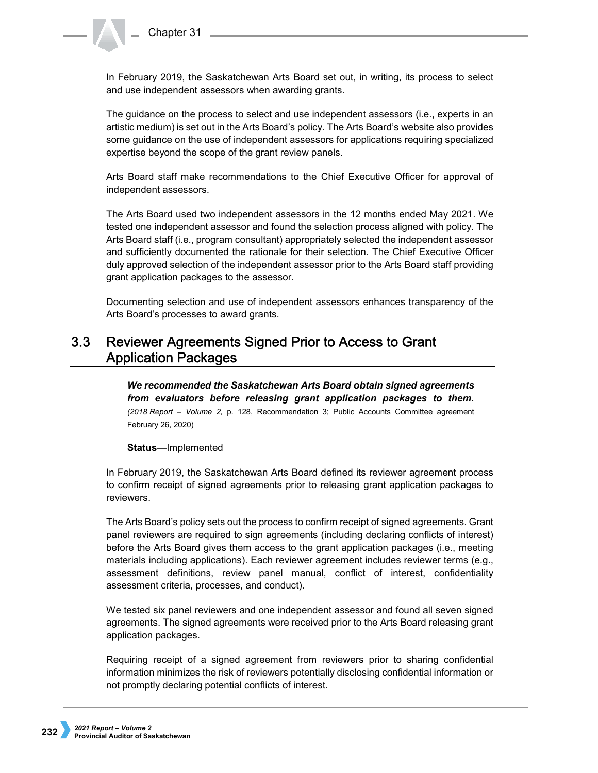In February 2019, the Saskatchewan Arts Board set out, in writing, its process to select and use independent assessors when awarding grants.

The guidance on the process to select and use independent assessors (i.e., experts in an artistic medium) is set out in the Arts Board's policy. The Arts Board's website also provides some guidance on the use of independent assessors for applications requiring specialized expertise beyond the scope of the grant review panels.

Arts Board staff make recommendations to the Chief Executive Officer for approval of independent assessors.

The Arts Board used two independent assessors in the 12 months ended May 2021. We tested one independent assessor and found the selection process aligned with policy. The Arts Board staff (i.e., program consultant) appropriately selected the independent assessor and sufficiently documented the rationale for their selection. The Chief Executive Officer duly approved selection of the independent assessor prior to the Arts Board staff providing grant application packages to the assessor.

Documenting selection and use of independent assessors enhances transparency of the Arts Board's processes to award grants.

## $3.3<sub>2</sub>$ Reviewer Agreements Signed Prior to Access to Grant **Application Packages**

*We recommended the Saskatchewan Arts Board obtain signed agreements from evaluators before releasing grant application packages to them. (2018 Report – Volume 2,* p. 128, Recommendation 3; Public Accounts Committee agreement February 26, 2020)

**Status**—Implemented

In February 2019, the Saskatchewan Arts Board defined its reviewer agreement process to confirm receipt of signed agreements prior to releasing grant application packages to reviewers.

The Arts Board's policy sets out the process to confirm receipt of signed agreements. Grant panel reviewers are required to sign agreements (including declaring conflicts of interest) before the Arts Board gives them access to the grant application packages (i.e., meeting materials including applications). Each reviewer agreement includes reviewer terms (e.g., assessment definitions, review panel manual, conflict of interest, confidentiality assessment criteria, processes, and conduct).

We tested six panel reviewers and one independent assessor and found all seven signed agreements. The signed agreements were received prior to the Arts Board releasing grant application packages.

Requiring receipt of a signed agreement from reviewers prior to sharing confidential information minimizes the risk of reviewers potentially disclosing confidential information or not promptly declaring potential conflicts of interest.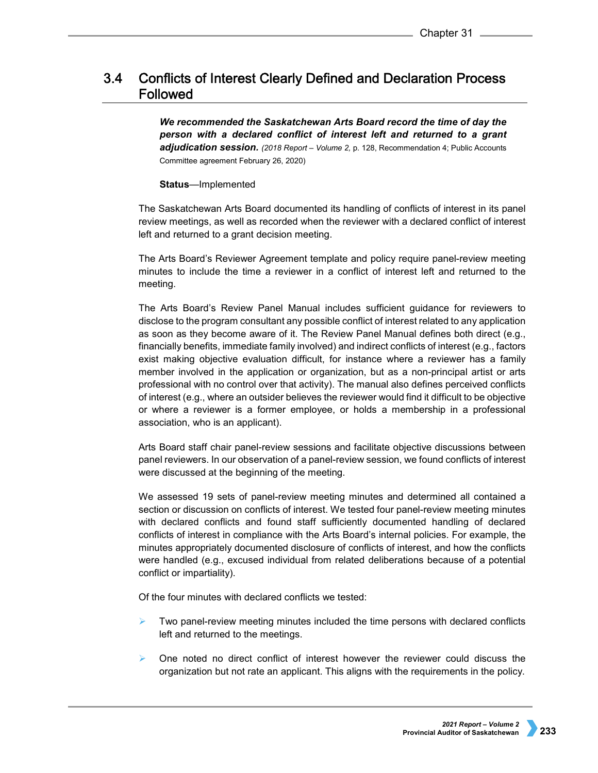## $3.4$ **Conflicts of Interest Clearly Defined and Declaration Process** Followed

*We recommended the Saskatchewan Arts Board record the time of day the person with a declared conflict of interest left and returned to a grant adjudication session. (2018 Report – Volume 2,* p. 128, Recommendation 4; Public Accounts Committee agreement February 26, 2020)

## **Status**—Implemented

The Saskatchewan Arts Board documented its handling of conflicts of interest in its panel review meetings, as well as recorded when the reviewer with a declared conflict of interest left and returned to a grant decision meeting.

The Arts Board's Reviewer Agreement template and policy require panel-review meeting minutes to include the time a reviewer in a conflict of interest left and returned to the meeting.

The Arts Board's Review Panel Manual includes sufficient guidance for reviewers to disclose to the program consultant any possible conflict of interest related to any application as soon as they become aware of it. The Review Panel Manual defines both direct (e.g., financially benefits, immediate family involved) and indirect conflicts of interest (e.g., factors exist making objective evaluation difficult, for instance where a reviewer has a family member involved in the application or organization, but as a non-principal artist or arts professional with no control over that activity). The manual also defines perceived conflicts of interest (e.g., where an outsider believes the reviewer would find it difficult to be objective or where a reviewer is a former employee, or holds a membership in a professional association, who is an applicant).

Arts Board staff chair panel-review sessions and facilitate objective discussions between panel reviewers. In our observation of a panel-review session, we found conflicts of interest were discussed at the beginning of the meeting.

We assessed 19 sets of panel-review meeting minutes and determined all contained a section or discussion on conflicts of interest. We tested four panel-review meeting minutes with declared conflicts and found staff sufficiently documented handling of declared conflicts of interest in compliance with the Arts Board's internal policies. For example, the minutes appropriately documented disclosure of conflicts of interest, and how the conflicts were handled (e.g., excused individual from related deliberations because of a potential conflict or impartiality).

Of the four minutes with declared conflicts we tested:

- Two panel-review meeting minutes included the time persons with declared conflicts left and returned to the meetings.
- $\triangleright$  One noted no direct conflict of interest however the reviewer could discuss the organization but not rate an applicant. This aligns with the requirements in the policy.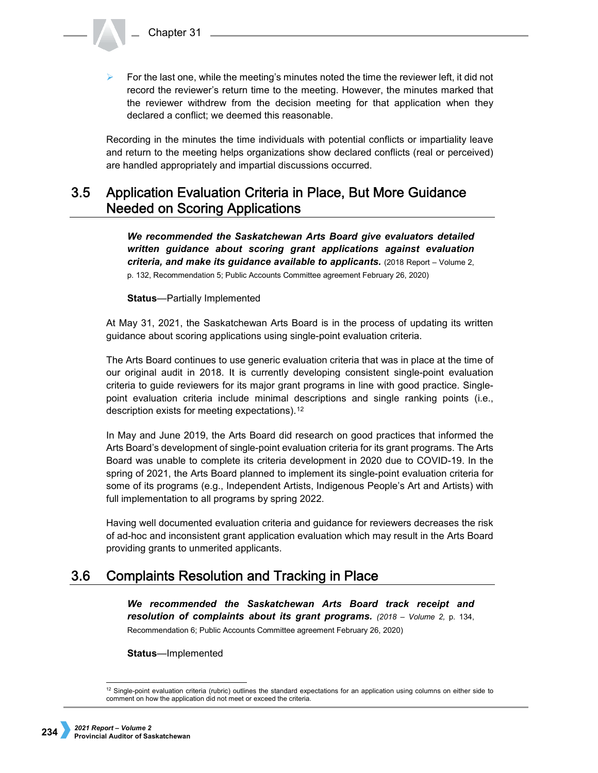For the last one, while the meeting's minutes noted the time the reviewer left, it did not record the reviewer's return time to the meeting. However, the minutes marked that the reviewer withdrew from the decision meeting for that application when they declared a conflict; we deemed this reasonable.

Recording in the minutes the time individuals with potential conflicts or impartiality leave and return to the meeting helps organizations show declared conflicts (real or perceived) are handled appropriately and impartial discussions occurred.

### $3.5$ **Application Evaluation Criteria in Place, But More Guidance Needed on Scoring Applications**

*We recommended the Saskatchewan Arts Board give evaluators detailed written guidance about scoring grant applications against evaluation criteria, and make its guidance available to applicants.* (2018 Report – Volume 2, p. 132, Recommendation 5; Public Accounts Committee agreement February 26, 2020)

**Status**—Partially Implemented

At May 31, 2021, the Saskatchewan Arts Board is in the process of updating its written guidance about scoring applications using single-point evaluation criteria.

The Arts Board continues to use generic evaluation criteria that was in place at the time of our original audit in 2018. It is currently developing consistent single-point evaluation criteria to guide reviewers for its major grant programs in line with good practice. Singlepoint evaluation criteria include minimal descriptions and single ranking points (i.e., description exists for meeting expectations).[12](#page-5-0)

In May and June 2019, the Arts Board did research on good practices that informed the Arts Board's development of single-point evaluation criteria for its grant programs. The Arts Board was unable to complete its criteria development in 2020 due to COVID-19. In the spring of 2021, the Arts Board planned to implement its single-point evaluation criteria for some of its programs (e.g., Independent Artists, Indigenous People's Art and Artists) with full implementation to all programs by spring 2022.

Having well documented evaluation criteria and guidance for reviewers decreases the risk of ad-hoc and inconsistent grant application evaluation which may result in the Arts Board providing grants to unmerited applicants.

#### **Complaints Resolution and Tracking in Place**  $3.6$

*We recommended the Saskatchewan Arts Board track receipt and resolution of complaints about its grant programs. (2018 – Volume 2,* p. 134, Recommendation 6; Public Accounts Committee agreement February 26, 2020)

**Status**—Implemented

<span id="page-5-0"></span> $12$  Single-point evaluation criteria (rubric) outlines the standard expectations for an application using columns on either side to comment on how the application did not meet or exceed the criteria.